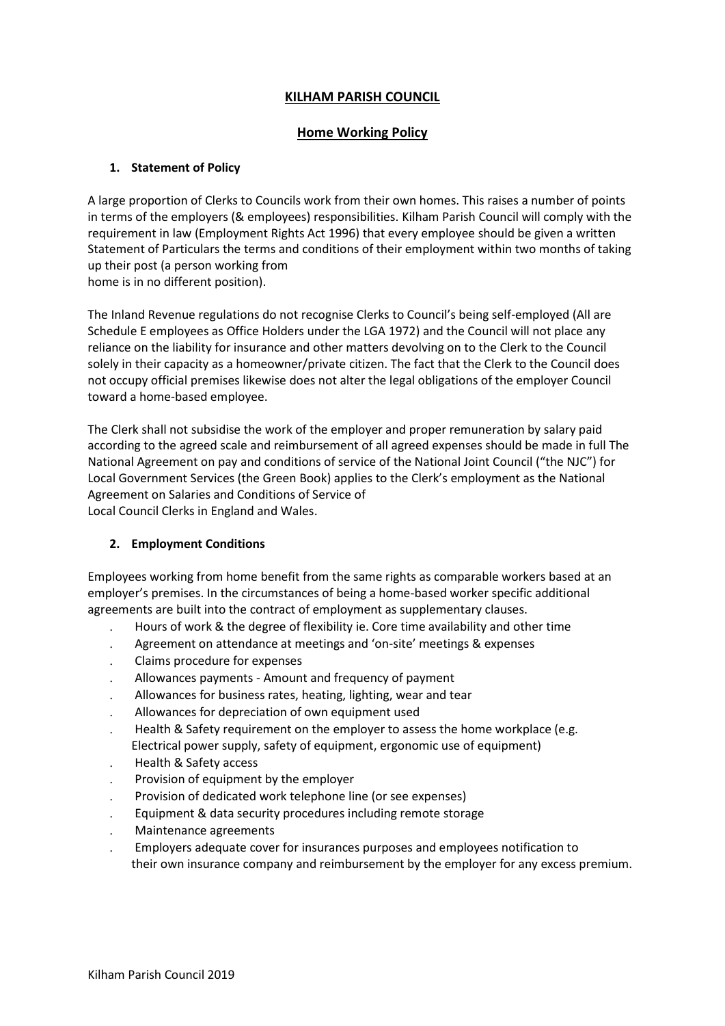## **KILHAM PARISH COUNCIL**

### **Home Working Policy**

#### **1. Statement of Policy**

A large proportion of Clerks to Councils work from their own homes. This raises a number of points in terms of the employers (& employees) responsibilities. Kilham Parish Council will comply with the requirement in law (Employment Rights Act 1996) that every employee should be given a written Statement of Particulars the terms and conditions of their employment within two months of taking up their post (a person working from home is in no different position).

The Inland Revenue regulations do not recognise Clerks to Council's being self-employed (All are Schedule E employees as Office Holders under the LGA 1972) and the Council will not place any reliance on the liability for insurance and other matters devolving on to the Clerk to the Council solely in their capacity as a homeowner/private citizen. The fact that the Clerk to the Council does not occupy official premises likewise does not alter the legal obligations of the employer Council toward a home-based employee.

The Clerk shall not subsidise the work of the employer and proper remuneration by salary paid according to the agreed scale and reimbursement of all agreed expenses should be made in full The National Agreement on pay and conditions of service of the National Joint Council ("the NJC") for Local Government Services (the Green Book) applies to the Clerk's employment as the National Agreement on Salaries and Conditions of Service of Local Council Clerks in England and Wales.

#### **2. Employment Conditions**

Employees working from home benefit from the same rights as comparable workers based at an employer's premises. In the circumstances of being a home-based worker specific additional agreements are built into the contract of employment as supplementary clauses.

- Hours of work & the degree of flexibility ie. Core time availability and other time
- Agreement on attendance at meetings and 'on-site' meetings & expenses
- Claims procedure for expenses
- Allowances payments Amount and frequency of payment
- Allowances for business rates, heating, lighting, wear and tear
- Allowances for depreciation of own equipment used
- Health & Safety requirement on the employer to assess the home workplace (e.g. Electrical power supply, safety of equipment, ergonomic use of equipment)
- Health & Safety access
- Provision of equipment by the employer
- Provision of dedicated work telephone line (or see expenses)
- Equipment & data security procedures including remote storage
- Maintenance agreements
- Employers adequate cover for insurances purposes and employees notification to their own insurance company and reimbursement by the employer for any excess premium.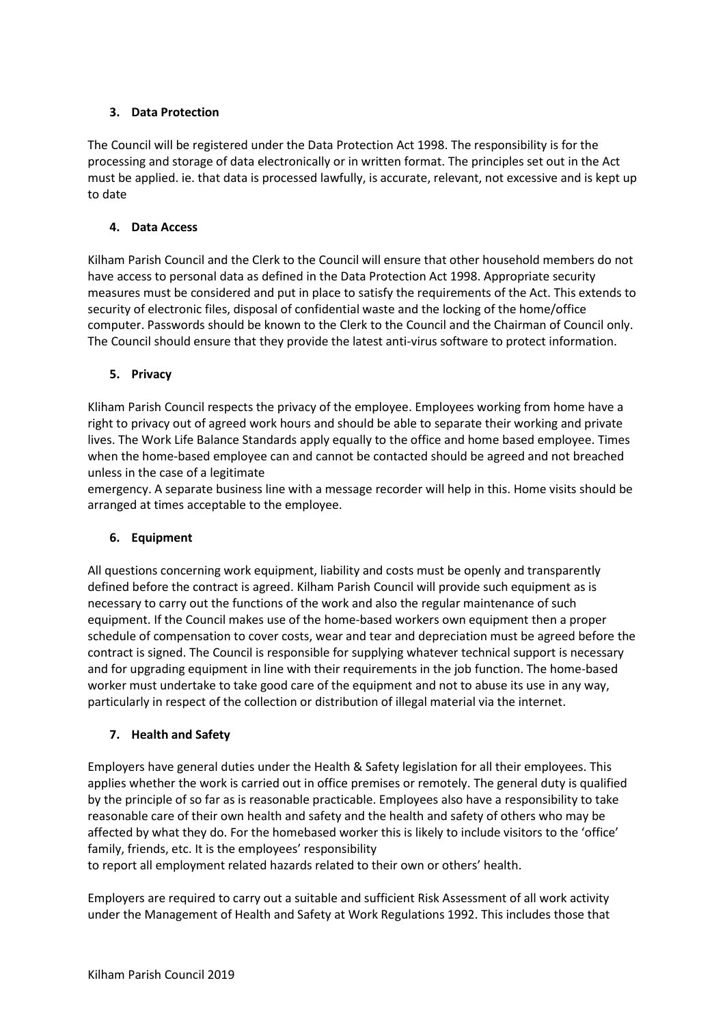## **3. Data Protection**

The Council will be registered under the Data Protection Act 1998. The responsibility is for the processing and storage of data electronically or in written format. The principles set out in the Act must be applied. ie. that data is processed lawfully, is accurate, relevant, not excessive and is kept up to date

### **4. Data Access**

Kilham Parish Council and the Clerk to the Council will ensure that other household members do not have access to personal data as defined in the Data Protection Act 1998. Appropriate security measures must be considered and put in place to satisfy the requirements of the Act. This extends to security of electronic files, disposal of confidential waste and the locking of the home/office computer. Passwords should be known to the Clerk to the Council and the Chairman of Council only. The Council should ensure that they provide the latest anti-virus software to protect information.

#### **5. Privacy**

Kliham Parish Council respects the privacy of the employee. Employees working from home have a right to privacy out of agreed work hours and should be able to separate their working and private lives. The Work Life Balance Standards apply equally to the office and home based employee. Times when the home-based employee can and cannot be contacted should be agreed and not breached unless in the case of a legitimate

emergency. A separate business line with a message recorder will help in this. Home visits should be arranged at times acceptable to the employee.

### **6. Equipment**

All questions concerning work equipment, liability and costs must be openly and transparently defined before the contract is agreed. Kilham Parish Council will provide such equipment as is necessary to carry out the functions of the work and also the regular maintenance of such equipment. If the Council makes use of the home-based workers own equipment then a proper schedule of compensation to cover costs, wear and tear and depreciation must be agreed before the contract is signed. The Council is responsible for supplying whatever technical support is necessary and for upgrading equipment in line with their requirements in the job function. The home-based worker must undertake to take good care of the equipment and not to abuse its use in any way, particularly in respect of the collection or distribution of illegal material via the internet.

### **7. Health and Safety**

Employers have general duties under the Health & Safety legislation for all their employees. This applies whether the work is carried out in office premises or remotely. The general duty is qualified by the principle of so far as is reasonable practicable. Employees also have a responsibility to take reasonable care of their own health and safety and the health and safety of others who may be affected by what they do. For the homebased worker this is likely to include visitors to the 'office' family, friends, etc. It is the employees' responsibility

to report all employment related hazards related to their own or others' health.

Employers are required to carry out a suitable and sufficient Risk Assessment of all work activity under the Management of Health and Safety at Work Regulations 1992. This includes those that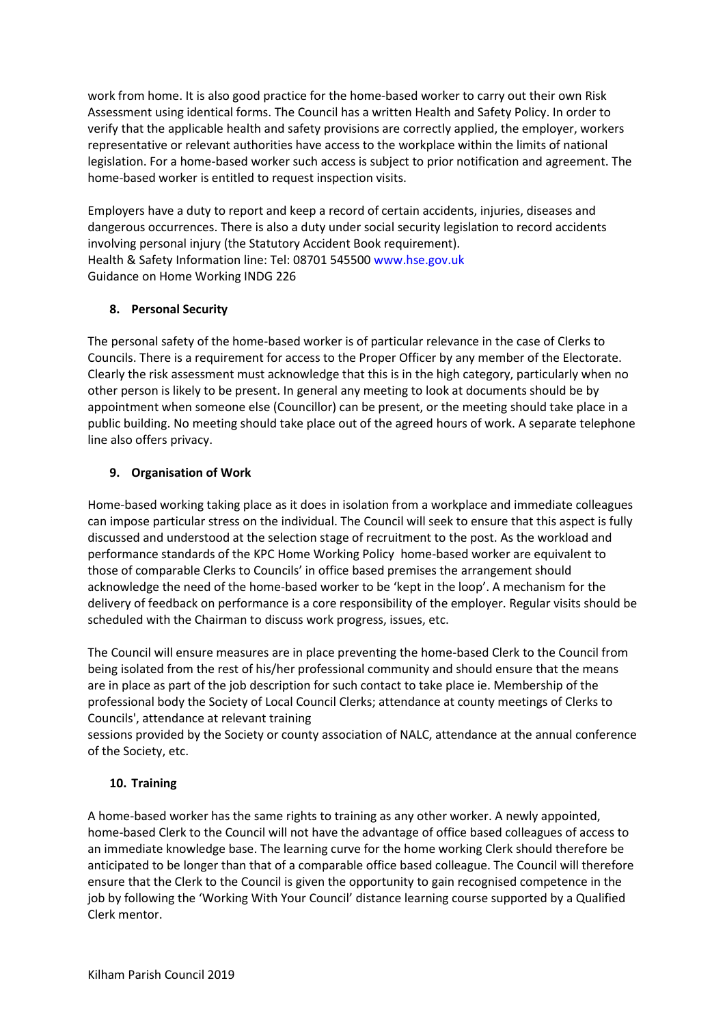work from home. It is also good practice for the home-based worker to carry out their own Risk Assessment using identical forms. The Council has a written Health and Safety Policy. In order to verify that the applicable health and safety provisions are correctly applied, the employer, workers representative or relevant authorities have access to the workplace within the limits of national legislation. For a home-based worker such access is subject to prior notification and agreement. The home-based worker is entitled to request inspection visits.

Employers have a duty to report and keep a record of certain accidents, injuries, diseases and dangerous occurrences. There is also a duty under social security legislation to record accidents involving personal injury (the Statutory Accident Book requirement). Health & Safety Information line: Tel: 08701 545500 www.hse.gov.uk Guidance on Home Working INDG 226

### **8. Personal Security**

The personal safety of the home-based worker is of particular relevance in the case of Clerks to Councils. There is a requirement for access to the Proper Officer by any member of the Electorate. Clearly the risk assessment must acknowledge that this is in the high category, particularly when no other person is likely to be present. In general any meeting to look at documents should be by appointment when someone else (Councillor) can be present, or the meeting should take place in a public building. No meeting should take place out of the agreed hours of work. A separate telephone line also offers privacy.

# **9. Organisation of Work**

Home-based working taking place as it does in isolation from a workplace and immediate colleagues can impose particular stress on the individual. The Council will seek to ensure that this aspect is fully discussed and understood at the selection stage of recruitment to the post. As the workload and performance standards of the KPC Home Working Policy home-based worker are equivalent to those of comparable Clerks to Councils' in office based premises the arrangement should acknowledge the need of the home-based worker to be 'kept in the loop'. A mechanism for the delivery of feedback on performance is a core responsibility of the employer. Regular visits should be scheduled with the Chairman to discuss work progress, issues, etc.

The Council will ensure measures are in place preventing the home-based Clerk to the Council from being isolated from the rest of his/her professional community and should ensure that the means are in place as part of the job description for such contact to take place ie. Membership of the professional body the Society of Local Council Clerks; attendance at county meetings of Clerks to Councils', attendance at relevant training

sessions provided by the Society or county association of NALC, attendance at the annual conference of the Society, etc.

# **10. Training**

A home-based worker has the same rights to training as any other worker. A newly appointed, home-based Clerk to the Council will not have the advantage of office based colleagues of access to an immediate knowledge base. The learning curve for the home working Clerk should therefore be anticipated to be longer than that of a comparable office based colleague. The Council will therefore ensure that the Clerk to the Council is given the opportunity to gain recognised competence in the job by following the 'Working With Your Council' distance learning course supported by a Qualified Clerk mentor.